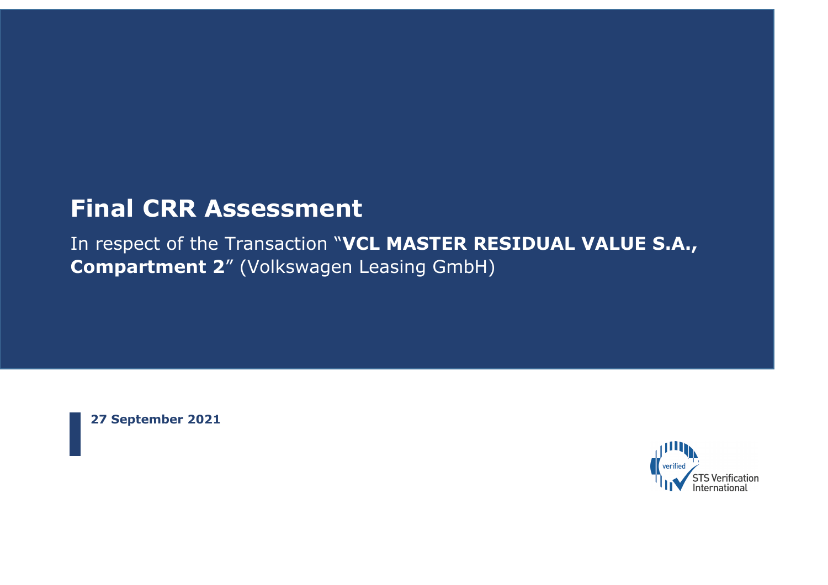# **Final CRR Assessment**

In respect of the Transaction "**VCL MASTER RESIDUAL VALUE S.A., Compartment 2**" (Volkswagen Leasing GmbH)

**27 September 2021**

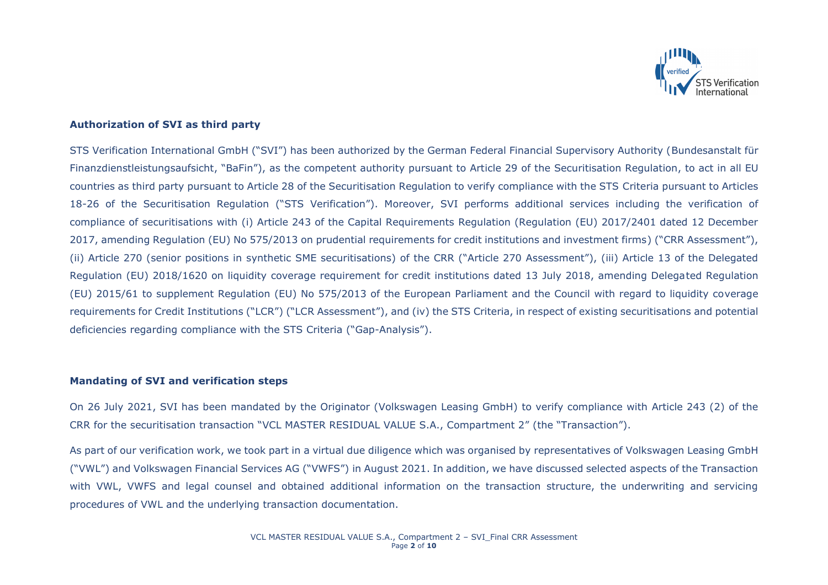

## **Authorization of SVI as third party**

STS Verification International GmbH ("SVI") has been authorized by the German Federal Financial Supervisory Authority (Bundesanstalt für Finanzdienstleistungsaufsicht, "BaFin"), as the competent authority pursuant to Article 29 of the Securitisation Regulation, to act in all EU countries as third party pursuant to Article 28 of the Securitisation Regulation to verify compliance with the STS Criteria pursuant to Articles 18-26 of the Securitisation Regulation ("STS Verification"). Moreover, SVI performs additional services including the verification of compliance of securitisations with (i) Article 243 of the Capital Requirements Regulation (Regulation (EU) 2017/2401 dated 12 December 2017, amending Regulation (EU) No 575/2013 on prudential requirements for credit institutions and investment firms) ("CRR Assessment"), (ii) Article 270 (senior positions in synthetic SME securitisations) of the CRR ("Article 270 Assessment"), (iii) Article 13 of the Delegated Regulation (EU) 2018/1620 on liquidity coverage requirement for credit institutions dated 13 July 2018, amending Delegated Regulation (EU) 2015/61 to supplement Regulation (EU) No 575/2013 of the European Parliament and the Council with regard to liquidity coverage requirements for Credit Institutions ("LCR") ("LCR Assessment"), and (iv) the STS Criteria, in respect of existing securitisations and potential deficiencies regarding compliance with the STS Criteria ("Gap-Analysis").

#### **Mandating of SVI and verification steps**

On 26 July 2021, SVI has been mandated by the Originator (Volkswagen Leasing GmbH) to verify compliance with Article 243 (2) of the CRR for the securitisation transaction "VCL MASTER RESIDUAL VALUE S.A., Compartment 2" (the "Transaction").

As part of our verification work, we took part in a virtual due diligence which was organised by representatives of Volkswagen Leasing GmbH ("VWL") and Volkswagen Financial Services AG ("VWFS") in August 2021. In addition, we have discussed selected aspects of the Transaction with VWL, VWFS and legal counsel and obtained additional information on the transaction structure, the underwriting and servicing procedures of VWL and the underlying transaction documentation.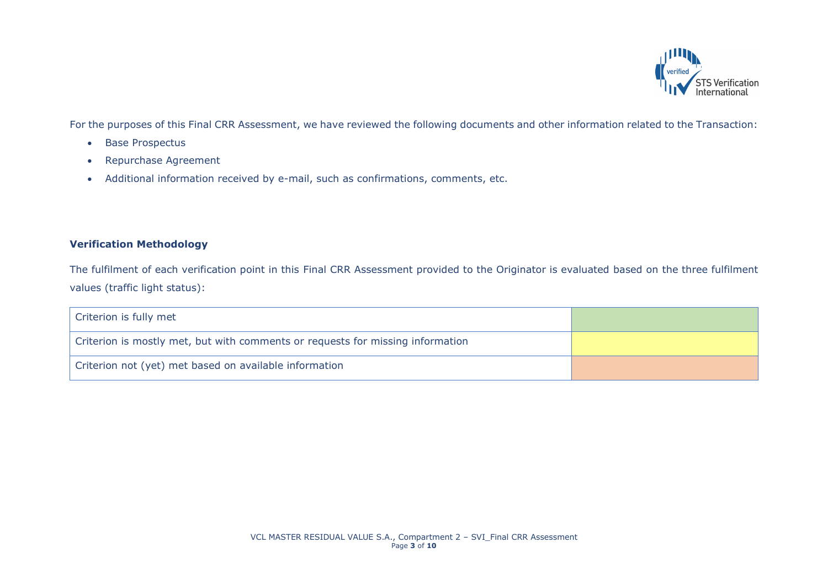

For the purposes of this Final CRR Assessment, we have reviewed the following documents and other information related to the Transaction:

- Base Prospectus
- Repurchase Agreement
- Additional information received by e-mail, such as confirmations, comments, etc.

# **Verification Methodology**

The fulfilment of each verification point in this Final CRR Assessment provided to the Originator is evaluated based on the three fulfilment values (traffic light status):

| Criterion is fully met                                                         |  |
|--------------------------------------------------------------------------------|--|
| Criterion is mostly met, but with comments or requests for missing information |  |
| Criterion not (yet) met based on available information                         |  |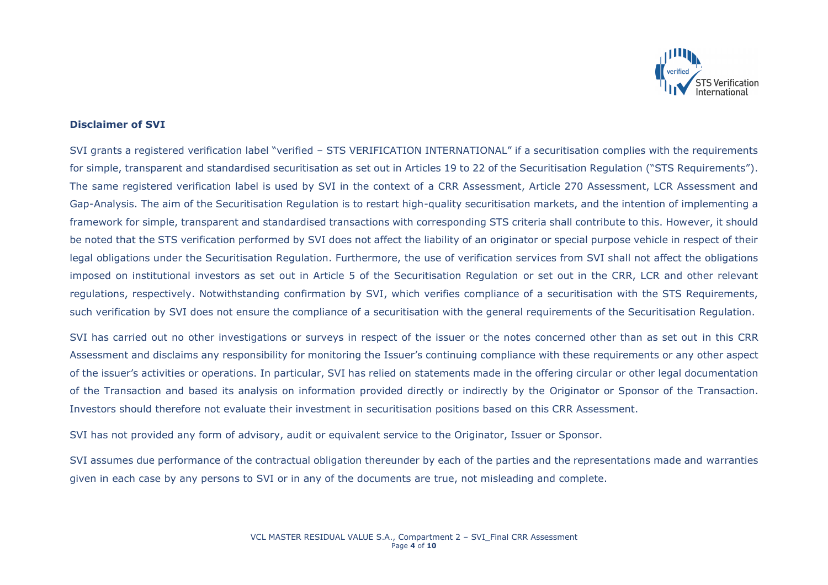

### **Disclaimer of SVI**

SVI grants a registered verification label "verified – STS VERIFICATION INTERNATIONAL" if a securitisation complies with the requirements for simple, transparent and standardised securitisation as set out in Articles 19 to 22 of the Securitisation Regulation ("STS Requirements"). The same registered verification label is used by SVI in the context of a CRR Assessment, Article 270 Assessment, LCR Assessment and Gap-Analysis. The aim of the Securitisation Regulation is to restart high-quality securitisation markets, and the intention of implementing a framework for simple, transparent and standardised transactions with corresponding STS criteria shall contribute to this. However, it should be noted that the STS verification performed by SVI does not affect the liability of an originator or special purpose vehicle in respect of their legal obligations under the Securitisation Regulation. Furthermore, the use of verification services from SVI shall not affect the obligations imposed on institutional investors as set out in Article 5 of the Securitisation Regulation or set out in the CRR, LCR and other relevant regulations, respectively. Notwithstanding confirmation by SVI, which verifies compliance of a securitisation with the STS Requirements, such verification by SVI does not ensure the compliance of a securitisation with the general requirements of the Securitisation Regulation.

SVI has carried out no other investigations or surveys in respect of the issuer or the notes concerned other than as set out in this CRR Assessment and disclaims any responsibility for monitoring the Issuer's continuing compliance with these requirements or any other aspect of the issuer's activities or operations. In particular, SVI has relied on statements made in the offering circular or other legal documentation of the Transaction and based its analysis on information provided directly or indirectly by the Originator or Sponsor of the Transaction. Investors should therefore not evaluate their investment in securitisation positions based on this CRR Assessment.

SVI has not provided any form of advisory, audit or equivalent service to the Originator, Issuer or Sponsor.

SVI assumes due performance of the contractual obligation thereunder by each of the parties and the representations made and warranties given in each case by any persons to SVI or in any of the documents are true, not misleading and complete.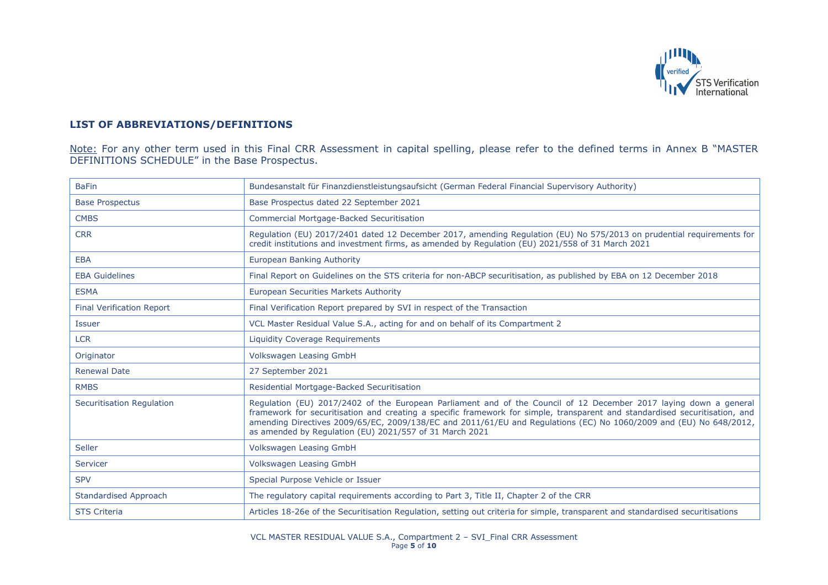

# **LIST OF ABBREVIATIONS/DEFINITIONS**

Note: For any other term used in this Final CRR Assessment in capital spelling, please refer to the defined terms in Annex B "MASTER DEFINITIONS SCHEDULE" in the Base Prospectus.

| <b>BaFin</b>                     | Bundesanstalt für Finanzdienstleistungsaufsicht (German Federal Financial Supervisory Authority)                                                                                                                                                                                                                                                                                                                                  |
|----------------------------------|-----------------------------------------------------------------------------------------------------------------------------------------------------------------------------------------------------------------------------------------------------------------------------------------------------------------------------------------------------------------------------------------------------------------------------------|
| <b>Base Prospectus</b>           | Base Prospectus dated 22 September 2021                                                                                                                                                                                                                                                                                                                                                                                           |
| <b>CMBS</b>                      | <b>Commercial Mortgage-Backed Securitisation</b>                                                                                                                                                                                                                                                                                                                                                                                  |
| <b>CRR</b>                       | Regulation (EU) 2017/2401 dated 12 December 2017, amending Regulation (EU) No 575/2013 on prudential requirements for<br>credit institutions and investment firms, as amended by Regulation (EU) 2021/558 of 31 March 2021                                                                                                                                                                                                        |
| <b>EBA</b>                       | European Banking Authority                                                                                                                                                                                                                                                                                                                                                                                                        |
| <b>EBA Guidelines</b>            | Final Report on Guidelines on the STS criteria for non-ABCP securitisation, as published by EBA on 12 December 2018                                                                                                                                                                                                                                                                                                               |
| <b>ESMA</b>                      | <b>European Securities Markets Authority</b>                                                                                                                                                                                                                                                                                                                                                                                      |
| <b>Final Verification Report</b> | Final Verification Report prepared by SVI in respect of the Transaction                                                                                                                                                                                                                                                                                                                                                           |
| <b>Issuer</b>                    | VCL Master Residual Value S.A., acting for and on behalf of its Compartment 2                                                                                                                                                                                                                                                                                                                                                     |
| <b>LCR</b>                       | Liquidity Coverage Requirements                                                                                                                                                                                                                                                                                                                                                                                                   |
| Originator                       | Volkswagen Leasing GmbH                                                                                                                                                                                                                                                                                                                                                                                                           |
| <b>Renewal Date</b>              | 27 September 2021                                                                                                                                                                                                                                                                                                                                                                                                                 |
| <b>RMBS</b>                      | Residential Mortgage-Backed Securitisation                                                                                                                                                                                                                                                                                                                                                                                        |
| <b>Securitisation Regulation</b> | Regulation (EU) 2017/2402 of the European Parliament and of the Council of 12 December 2017 laying down a general<br>framework for securitisation and creating a specific framework for simple, transparent and standardised securitisation, and<br>amending Directives 2009/65/EC, 2009/138/EC and 2011/61/EU and Regulations (EC) No 1060/2009 and (EU) No 648/2012,<br>as amended by Regulation (EU) 2021/557 of 31 March 2021 |
| Seller                           | Volkswagen Leasing GmbH                                                                                                                                                                                                                                                                                                                                                                                                           |
| Servicer                         | Volkswagen Leasing GmbH                                                                                                                                                                                                                                                                                                                                                                                                           |
| <b>SPV</b>                       | Special Purpose Vehicle or Issuer                                                                                                                                                                                                                                                                                                                                                                                                 |
| <b>Standardised Approach</b>     | The regulatory capital requirements according to Part 3, Title II, Chapter 2 of the CRR                                                                                                                                                                                                                                                                                                                                           |
| <b>STS Criteria</b>              | Articles 18-26e of the Securitisation Regulation, setting out criteria for simple, transparent and standardised securitisations                                                                                                                                                                                                                                                                                                   |

VCL MASTER RESIDUAL VALUE S.A., Compartment 2 – SVI\_Final CRR Assessment Page **5** of **10**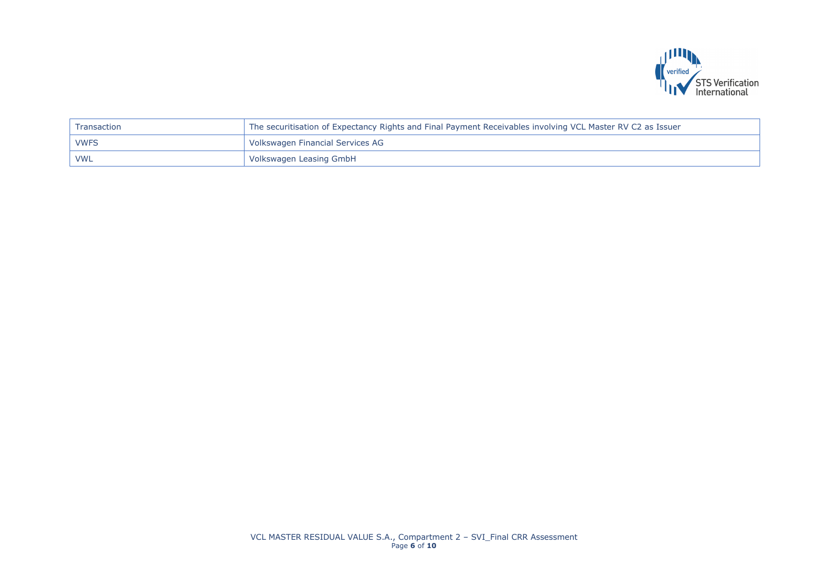

| Transaction | The securitisation of Expectancy Rights and Final Payment Receivables involving VCL Master RV C2 as Issuer |
|-------------|------------------------------------------------------------------------------------------------------------|
| <b>VWFS</b> | Volkswagen Financial Services AG                                                                           |
| <b>VWL</b>  | Volkswagen Leasing GmbH                                                                                    |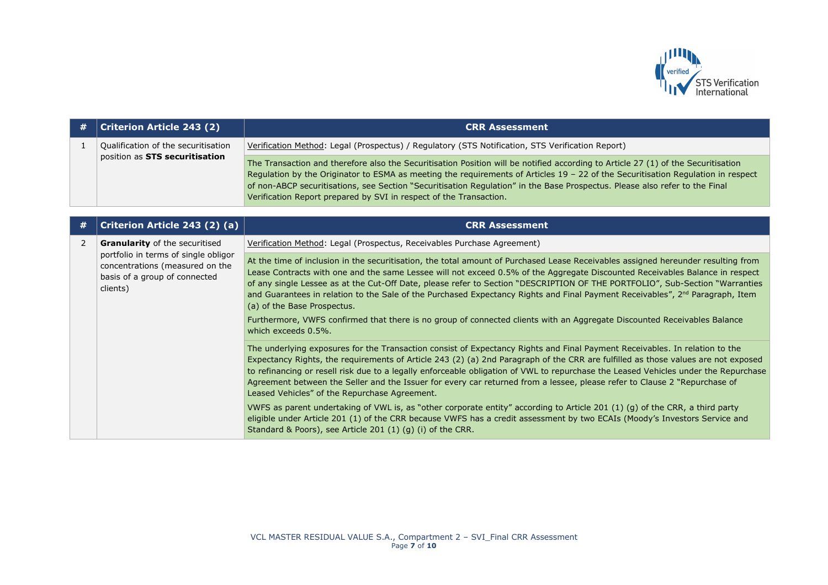

| # | <b>Criterion Article 243 (2)</b>                                                                                                                  | <b>CRR Assessment</b>                                                                                                                                                                                                                                                                                                                                                                                                                                                      |
|---|---------------------------------------------------------------------------------------------------------------------------------------------------|----------------------------------------------------------------------------------------------------------------------------------------------------------------------------------------------------------------------------------------------------------------------------------------------------------------------------------------------------------------------------------------------------------------------------------------------------------------------------|
|   | Qualification of the securitisation<br>position as STS securitisation                                                                             | Verification Method: Legal (Prospectus) / Regulatory (STS Notification, STS Verification Report)                                                                                                                                                                                                                                                                                                                                                                           |
|   |                                                                                                                                                   | The Transaction and therefore also the Securitisation Position will be notified according to Article 27 (1) of the Securitisation<br>Regulation by the Originator to ESMA as meeting the requirements of Articles 19 - 22 of the Securitisation Regulation in respect<br>of non-ABCP securitisations, see Section "Securitisation Regulation" in the Base Prospectus. Please also refer to the Final<br>Verification Report prepared by SVI in respect of the Transaction. |
|   |                                                                                                                                                   |                                                                                                                                                                                                                                                                                                                                                                                                                                                                            |
| # | Criterion Article 243 (2) (a)                                                                                                                     | <b>CRR Assessment</b>                                                                                                                                                                                                                                                                                                                                                                                                                                                      |
|   | <b>Granularity</b> of the securitised<br>portfolio in terms of single obligor<br>concentrations (measured on the<br>basis of a group of connected | Verification Method: Legal (Prospectus, Receivables Purchase Agreement)                                                                                                                                                                                                                                                                                                                                                                                                    |
|   |                                                                                                                                                   | At the time of inclusion in the securitisation, the total amount of Purchased Lease Receivables assigned hereunder resulting from<br>Lease Contracts with one and the same Lessee will not exceed 0.5% of the Aggregate Discounted Receivables Balance in respect<br>of any single Losson as at the Cut-Off Date, please refer to Section "DESCRIPTION OF THE PORTEOLIO" Sub-Section "Warranties                                                                           |

| $\overline{2}$ | <b>Granularity</b> of the securitised<br>portfolio in terms of single obligor<br>concentrations (measured on the<br>basis of a group of connected<br>clients) | Verification Method: Legal (Prospectus, Receivables Purchase Agreement)                                                                                                                                                                                                                                                                                                                                                                                                                                                                                                               |
|----------------|---------------------------------------------------------------------------------------------------------------------------------------------------------------|---------------------------------------------------------------------------------------------------------------------------------------------------------------------------------------------------------------------------------------------------------------------------------------------------------------------------------------------------------------------------------------------------------------------------------------------------------------------------------------------------------------------------------------------------------------------------------------|
|                |                                                                                                                                                               | At the time of inclusion in the securitisation, the total amount of Purchased Lease Receivables assigned hereunder resulting from<br>Lease Contracts with one and the same Lessee will not exceed 0.5% of the Aggregate Discounted Receivables Balance in respect<br>of any single Lessee as at the Cut-Off Date, please refer to Section "DESCRIPTION OF THE PORTFOLIO", Sub-Section "Warranties<br>and Guarantees in relation to the Sale of the Purchased Expectancy Rights and Final Payment Receivables", 2 <sup>nd</sup> Paragraph, Item<br>(a) of the Base Prospectus.         |
|                |                                                                                                                                                               | Furthermore, VWFS confirmed that there is no group of connected clients with an Aggregate Discounted Receivables Balance<br>which exceeds 0.5%.                                                                                                                                                                                                                                                                                                                                                                                                                                       |
|                |                                                                                                                                                               | The underlying exposures for the Transaction consist of Expectancy Rights and Final Payment Receivables. In relation to the<br>Expectancy Rights, the requirements of Article 243 (2) (a) 2nd Paragraph of the CRR are fulfilled as those values are not exposed<br>to refinancing or resell risk due to a legally enforceable obligation of VWL to repurchase the Leased Vehicles under the Repurchase<br>Agreement between the Seller and the Issuer for every car returned from a lessee, please refer to Clause 2 "Repurchase of<br>Leased Vehicles" of the Repurchase Agreement. |
|                |                                                                                                                                                               | VWFS as parent undertaking of VWL is, as "other corporate entity" according to Article 201 (1) (q) of the CRR, a third party<br>eligible under Article 201 (1) of the CRR because VWFS has a credit assessment by two ECAIs (Moody's Investors Service and<br>Standard & Poors), see Article 201 (1) (g) (i) of the CRR.                                                                                                                                                                                                                                                              |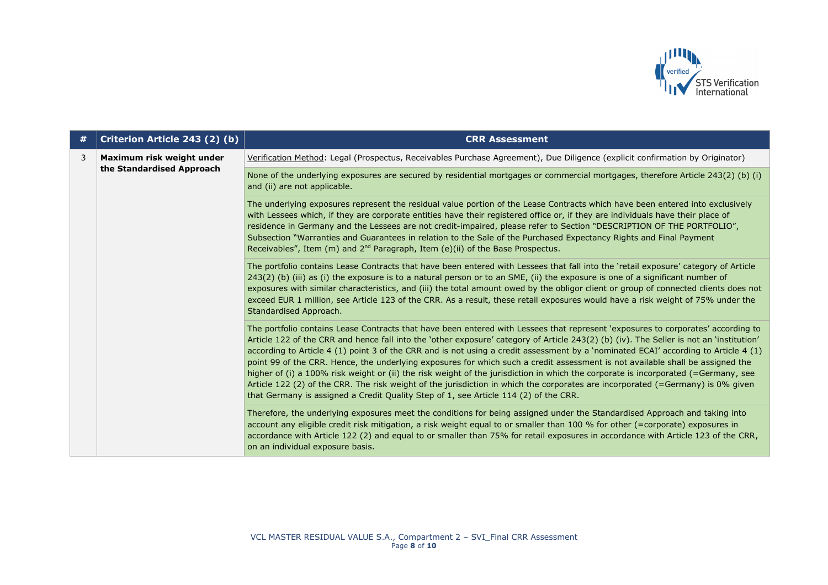

| # | Criterion Article 243 (2) (b)                          | <b>CRR Assessment</b>                                                                                                                                                                                                                                                                                                                                                                                                                                                                                                                                                                                                                                                                                                                                                                                                                                                                                                 |
|---|--------------------------------------------------------|-----------------------------------------------------------------------------------------------------------------------------------------------------------------------------------------------------------------------------------------------------------------------------------------------------------------------------------------------------------------------------------------------------------------------------------------------------------------------------------------------------------------------------------------------------------------------------------------------------------------------------------------------------------------------------------------------------------------------------------------------------------------------------------------------------------------------------------------------------------------------------------------------------------------------|
| 3 | Maximum risk weight under<br>the Standardised Approach | Verification Method: Legal (Prospectus, Receivables Purchase Agreement), Due Diligence (explicit confirmation by Originator)                                                                                                                                                                                                                                                                                                                                                                                                                                                                                                                                                                                                                                                                                                                                                                                          |
|   |                                                        | None of the underlying exposures are secured by residential mortgages or commercial mortgages, therefore Article 243(2) (b) (i)<br>and (ii) are not applicable.                                                                                                                                                                                                                                                                                                                                                                                                                                                                                                                                                                                                                                                                                                                                                       |
|   |                                                        | The underlying exposures represent the residual value portion of the Lease Contracts which have been entered into exclusively<br>with Lessees which, if they are corporate entities have their registered office or, if they are individuals have their place of<br>residence in Germany and the Lessees are not credit-impaired, please refer to Section "DESCRIPTION OF THE PORTFOLIO",<br>Subsection "Warranties and Guarantees in relation to the Sale of the Purchased Expectancy Rights and Final Payment<br>Receivables", Item (m) and $2^{nd}$ Paragraph, Item (e)(ii) of the Base Prospectus.                                                                                                                                                                                                                                                                                                                |
|   |                                                        | The portfolio contains Lease Contracts that have been entered with Lessees that fall into the 'retail exposure' category of Article<br>243(2) (b) (iii) as (i) the exposure is to a natural person or to an SME, (ii) the exposure is one of a significant number of<br>exposures with similar characteristics, and (iii) the total amount owed by the obligor client or group of connected clients does not<br>exceed EUR 1 million, see Article 123 of the CRR. As a result, these retail exposures would have a risk weight of 75% under the<br>Standardised Approach.                                                                                                                                                                                                                                                                                                                                             |
|   |                                                        | The portfolio contains Lease Contracts that have been entered with Lessees that represent 'exposures to corporates' according to<br>Article 122 of the CRR and hence fall into the 'other exposure' category of Article 243(2) (b) (iv). The Seller is not an 'institution'<br>according to Article 4 (1) point 3 of the CRR and is not using a credit assessment by a 'nominated ECAI' according to Article 4 (1)<br>point 99 of the CRR. Hence, the underlying exposures for which such a credit assessment is not available shall be assigned the<br>higher of (i) a 100% risk weight or (ii) the risk weight of the jurisdiction in which the corporate is incorporated (=Germany, see<br>Article 122 (2) of the CRR. The risk weight of the jurisdiction in which the corporates are incorporated (=Germany) is 0% given<br>that Germany is assigned a Credit Quality Step of 1, see Article 114 (2) of the CRR. |
|   |                                                        | Therefore, the underlying exposures meet the conditions for being assigned under the Standardised Approach and taking into<br>account any eligible credit risk mitigation, a risk weight equal to or smaller than 100 % for other (=corporate) exposures in<br>accordance with Article 122 (2) and equal to or smaller than 75% for retail exposures in accordance with Article 123 of the CRR,<br>on an individual exposure basis.                                                                                                                                                                                                                                                                                                                                                                                                                                                                                   |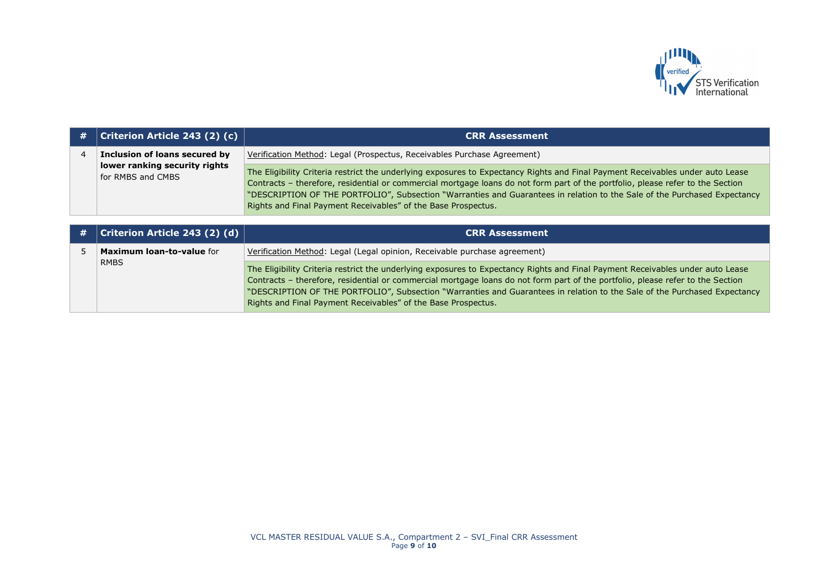

| # | <b>Criterion Article 243 (2) (c)</b>               | <b>CRR Assessment</b>                                                                                                                                                                                                                                                                                                                                                                                                                                          |
|---|----------------------------------------------------|----------------------------------------------------------------------------------------------------------------------------------------------------------------------------------------------------------------------------------------------------------------------------------------------------------------------------------------------------------------------------------------------------------------------------------------------------------------|
|   | Inclusion of loans secured by                      | Verification Method: Legal (Prospectus, Receivables Purchase Agreement)                                                                                                                                                                                                                                                                                                                                                                                        |
|   | lower ranking security rights<br>for RMBS and CMBS | The Eligibility Criteria restrict the underlying exposures to Expectancy Rights and Final Payment Receivables under auto Lease<br>Contracts - therefore, residential or commercial mortgage loans do not form part of the portfolio, please refer to the Section<br>"DESCRIPTION OF THE PORTFOLIO", Subsection "Warranties and Guarantees in relation to the Sale of the Purchased Expectancy<br>Rights and Final Payment Receivables" of the Base Prospectus. |

| # | Criterion Article 243 (2) (d) $ $ | <b>CRR Assessment</b>                                                                                                                                                                                                                                                                                                                                                                                                                                          |
|---|-----------------------------------|----------------------------------------------------------------------------------------------------------------------------------------------------------------------------------------------------------------------------------------------------------------------------------------------------------------------------------------------------------------------------------------------------------------------------------------------------------------|
|   | <b>Maximum loan-to-value for</b>  | Verification Method: Legal (Legal opinion, Receivable purchase agreement)                                                                                                                                                                                                                                                                                                                                                                                      |
|   | <b>RMBS</b>                       | The Eligibility Criteria restrict the underlying exposures to Expectancy Rights and Final Payment Receivables under auto Lease<br>Contracts - therefore, residential or commercial mortgage loans do not form part of the portfolio, please refer to the Section<br>"DESCRIPTION OF THE PORTFOLIO", Subsection "Warranties and Guarantees in relation to the Sale of the Purchased Expectancy<br>Rights and Final Payment Receivables" of the Base Prospectus. |